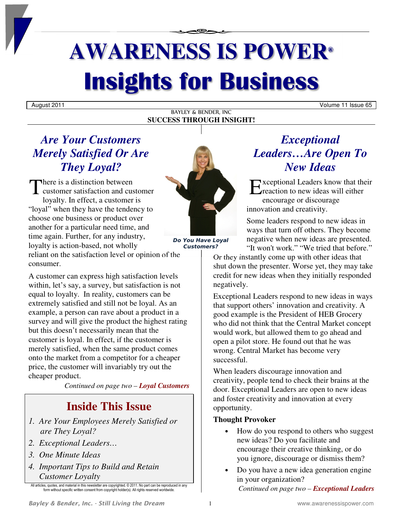# **AWARENESS IS POWER® Insights for Business**

#### BAYLEY & BENDER, INC **SUCCESS THROUGH INSIGHT!**

August 2011 Volume 11 Issue 65

# *Are Your Customers Merely Satisfied Or Are They Loyal?*

There is a distinction between There is a distinction between<br>customer satisfaction and customer  $\mathbf{E}$ loyalty. In effect, a customer is "loyal" when they have the tendency to choose one business or product over another for a particular need time, and time again. Further, for any industry, loyalty is action-based, not wholly reliant on the satisfaction level or opinion of the consumer.

A customer can express high satisfaction levels within, let's say, a survey, but satisfaction is not equal to loyalty. In reality, customers can be extremely satisfied and still not be loyal. As an example, a person can rave about a product in a survey and will give the product the highest rating but this doesn't necessarily mean that the customer is loyal. In effect, if the customer is merely satisfied, when the same product comes onto the market from a competitor for a cheaper price, the customer will invariably try out the cheaper product.

*Continued on page two – Loyal Customers*

# **Inside This Issue**

- *1. Are Your Employees Merely Satisfied or are They Loyal?*
- *2. Exceptional Leaders…*
- *3. One Minute Ideas*
- *4. Important Tips to Build and Retain Customer Loyalty*

All articles, quotes, and material in this newsletter are copyrighted. © 2011. No part can be reproduced in any form without specific written consent from copyright holder(s). All rights reserved worldwide.



*Do You Have Loyal Customers?* 

# *Exceptional Leaders…Are Open To New Ideas*

xceptional Leaders know that their **E** reaction to new ideas will either encourage or discourage innovation and creativity.

Some leaders respond to new ideas in ways that turn off others. They become negative when new ideas are presented. "It won't work." "We tried that before."

Or they instantly come up with other ideas that shut down the presenter. Worse yet, they may take credit for new ideas when they initially responded negatively.

Exceptional Leaders respond to new ideas in ways that support others' innovation and creativity. A good example is the President of HEB Grocery who did not think that the Central Market concept would work, but allowed them to go ahead and open a pilot store. He found out that he was wrong. Central Market has become very successful.

When leaders discourage innovation and creativity, people tend to check their brains at the door. Exceptional Leaders are open to new ideas and foster creativity and innovation at every opportunity.

## **Thought Provoker**

- How do you respond to others who suggest new ideas? Do you facilitate and encourage their creative thinking, or do you ignore, discourage or dismiss them?
- Do you have a new idea generation engine in your organization? *Continued on page two – Exceptional Leaders*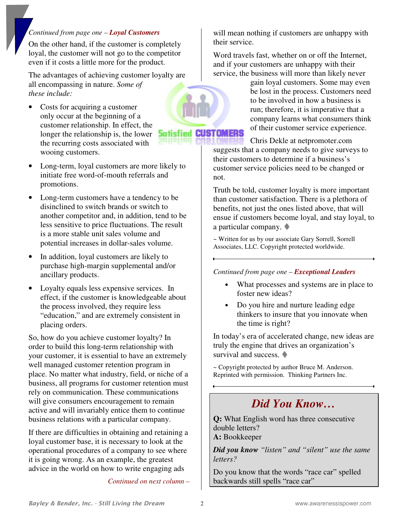## *Continued from page one – Loyal Customers*

On the other hand, if the customer is completely loyal, the customer will not go to the competitor even if it costs a little more for the product.

The advantages of achieving customer loyalty are all encompassing in nature. *Some of these include:* 

- Costs for acquiring a customer only occur at the beginning of a customer relationship. In effect, the longer the relationship is, the lower the recurring costs associated with wooing customers.
- Long-term, loyal customers are more likely to initiate free word-of-mouth referrals and promotions.
- Long-term customers have a tendency to be disinclined to switch brands or switch to another competitor and, in addition, tend to be less sensitive to price fluctuations. The result is a more stable unit sales volume and potential increases in dollar-sales volume.
- In addition, loyal customers are likely to purchase high-margin supplemental and/or ancillary products.
- Loyalty equals less expensive services. In effect, if the customer is knowledgeable about the process involved, they require less "education," and are extremely consistent in placing orders.

So, how do you achieve customer loyalty? In order to build this long-term relationship with your customer, it is essential to have an extremely well managed customer retention program in place. No matter what industry, field, or niche of a business, all programs for customer retention must rely on communication. These communications will give consumers encouragement to remain active and will invariably entice them to continue business relations with a particular company.

If there are difficulties in obtaining and retaining a loyal customer base, it is necessary to look at the operational procedures of a company to see where it is going wrong. As an example, the greatest advice in the world on how to write engaging ads

*Continued on next column –* 

will mean nothing if customers are unhappy with their service.

Word travels fast, whether on or off the Internet, and if your customers are unhappy with their service, the business will more than likely never

> gain loyal customers. Some may even be lost in the process. Customers need to be involved in how a business is run; therefore, it is imperative that a company learns what consumers think of their customer service experience.

Chris Dekle at netpromoter.com suggests that a company needs to give surveys to their customers to determine if a business's customer service policies need to be changed or not.

Truth be told, customer loyalty is more important than customer satisfaction. There is a plethora of benefits, not just the ones listed above, that will ensue if customers become loyal, and stay loyal, to a particular company.

~ Written for us by our associate Gary Sorrell, Sorrell Associates, LLC. Copyright protected worldwide.

*Continued from page one – Exceptional Leaders*

- What processes and systems are in place to foster new ideas?
- Do you hire and nurture leading edge thinkers to insure that you innovate when the time is right?

In today's era of accelerated change, new ideas are truly the engine that drives an organization's survival and success.

~ Copyright protected by author Bruce M. Anderson. Reprinted with permission. Thinking Partners Inc.

# *Did You Know…*

**Q:** What English word has three consecutive double letters?

**A:** Bookkeeper

*Did you know "listen" and "silent" use the same letters?* 

Do you know that the words "race car" spelled backwards still spells "race car"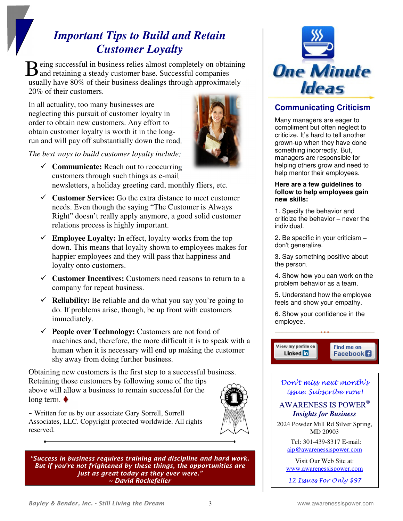# *Important Tips to Build and Retain Customer Loyalty*

eing successful in business relies almost completely on obtaining Being successful in business relies almost completely on obtained and retaining a steady customer base. Successful companies usually have 80% of their business dealings through approximately 20% of their customers.

In all actuality, too many businesses are neglecting this pursuit of customer loyalty in order to obtain new customers. Any effort to obtain customer loyalty is worth it in the longrun and will pay off substantially down the road.



*The best ways to build customer loyalty include:* 

- **Communicate:** Reach out to reoccurring customers through such things as e-mail newsletters, a holiday greeting card, monthly fliers, etc.
- **Customer Service:** Go the extra distance to meet customer needs. Even though the saying "The Customer is Always Right" doesn't really apply anymore, a good solid customer relations process is highly important.
- **Employee Loyalty:** In effect, loyalty works from the top down. This means that loyalty shown to employees makes for happier employees and they will pass that happiness and loyalty onto customers.
- **Customer Incentives:** Customers need reasons to return to a company for repeat business.
- **Reliability:** Be reliable and do what you say you're going to do. If problems arise, though, be up front with customers immediately.
- **People over Technology:** Customers are not fond of machines and, therefore, the more difficult it is to speak with a human when it is necessary will end up making the customer shy away from doing further business.

Obtaining new customers is the first step to a successful business. Retaining those customers by following some of the tips above will allow a business to remain successful for the long term.  $\bullet$ 



*"Success in business requires training and discipline and hard work. But if you're not frightened by these things, the opportunities are just as great today as they ever were." ~ David Rockefeller* 



## **Communicating Criticism**

Many managers are eager to compliment but often neglect to criticize. It's hard to tell another grown-up when they have done something incorrectly. But, managers are responsible for helping others grow and need to help mentor their employees.

#### **Here are a few guidelines to follow to help employees gain new skills:**

1. Specify the behavior and criticize the behavior – never the individual.

2. Be specific in your criticism don't generalize.

3. Say something positive about the person.

4. Show how you can work on the problem behavior as a team.

5. Understand how the employee feels and show your empathy.

6. Show your confidence in the employee.

View my profile on Linked **in** 

Find me on **Facebook** 

Don't miss next month's issue. Subscribe now!

## AWARENESS IS POWER®  *Insights for Business*

2024 Powder Mill Rd Silver Spring, MD 20903

> Tel: 301-439-8317 E-mail: aip@awarenessispower.com

Visit Our Web Site at: www.awarenessispower.com

12 Issues For Only \$97

~ Written for us by our associate Gary Sorrell, Sorrell Associates, LLC. Copyright protected worldwide. All rights

reserved.